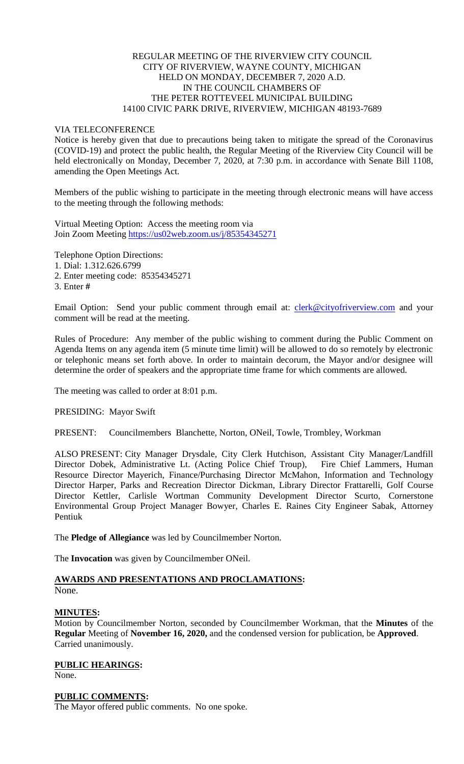## REGULAR MEETING OF THE RIVERVIEW CITY COUNCIL CITY OF RIVERVIEW, WAYNE COUNTY, MICHIGAN HELD ON MONDAY, DECEMBER 7, 2020 A.D. IN THE COUNCIL CHAMBERS OF THE PETER ROTTEVEEL MUNICIPAL BUILDING 14100 CIVIC PARK DRIVE, RIVERVIEW, MICHIGAN 48193-7689

#### VIA TELECONFERENCE

Notice is hereby given that due to precautions being taken to mitigate the spread of the Coronavirus (COVID-19) and protect the public health, the Regular Meeting of the Riverview City Council will be held electronically on Monday, December 7, 2020, at 7:30 p.m. in accordance with Senate Bill 1108, amending the Open Meetings Act.

Members of the public wishing to participate in the meeting through electronic means will have access to the meeting through the following methods:

Virtual Meeting Option: Access the meeting room via Join Zoom Meeting [https://us02web.zoom.us/j/85354345271](https://www.google.com/url?q=https%3A%2F%2Fus02web.zoom.us%2Fj%2F85354345271&sa=D&ust=1607187542003000&usg=AOvVaw2u9U6VnuZ76pQ_zfobUMtt)

Telephone Option Directions:

1. Dial: 1.312.626.6799

2. Enter meeting code: 85354345271

3. Enter **#**

Email Option: Send your public comment through email at: [clerk@cityofriverview.com](mailto:clerk@cityofriverview.com) and your comment will be read at the meeting.

Rules of Procedure: Any member of the public wishing to comment during the Public Comment on Agenda Items on any agenda item (5 minute time limit) will be allowed to do so remotely by electronic or telephonic means set forth above. In order to maintain decorum, the Mayor and/or designee will determine the order of speakers and the appropriate time frame for which comments are allowed.

The meeting was called to order at 8:01 p.m.

PRESIDING: Mayor Swift

PRESENT: Councilmembers Blanchette, Norton, ONeil, Towle, Trombley, Workman

ALSO PRESENT: City Manager Drysdale, City Clerk Hutchison, Assistant City Manager/Landfill Director Dobek, Administrative Lt. (Acting Police Chief Troup), Fire Chief Lammers, Human Resource Director Mayerich, Finance/Purchasing Director McMahon, Information and Technology Director Harper, Parks and Recreation Director Dickman, Library Director Frattarelli, Golf Course Director Kettler, Carlisle Wortman Community Development Director Scurto, Cornerstone Environmental Group Project Manager Bowyer, Charles E. Raines City Engineer Sabak, Attorney Pentiuk

The **Pledge of Allegiance** was led by Councilmember Norton.

The **Invocation** was given by Councilmember ONeil.

#### **AWARDS AND PRESENTATIONS AND PROCLAMATIONS:** None.

## **MINUTES:**

Motion by Councilmember Norton, seconded by Councilmember Workman, that the **Minutes** of the **Regular** Meeting of **November 16, 2020,** and the condensed version for publication, be **Approved**. Carried unanimously.

# **PUBLIC HEARINGS:**

None.

## **PUBLIC COMMENTS:**

The Mayor offered public comments. No one spoke.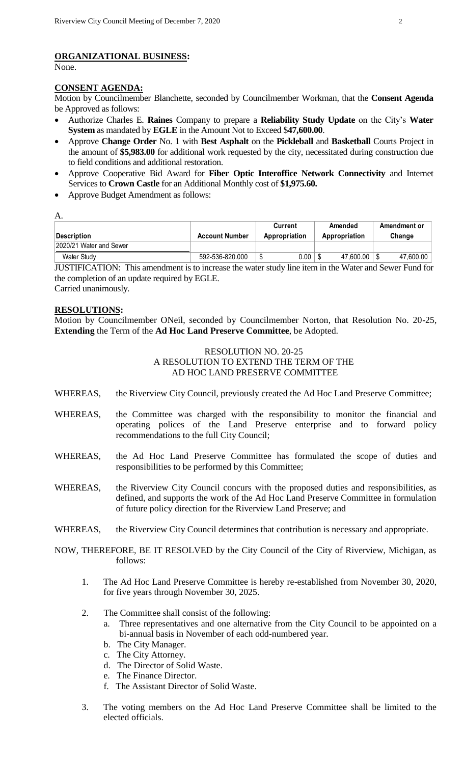# **ORGANIZATIONAL BUSINESS:**

None.

# **CONSENT AGENDA:**

Motion by Councilmember Blanchette, seconded by Councilmember Workman, that the **Consent Agenda**  be Approved as follows:

- Authorize Charles E. **Raines** Company to prepare a **Reliability Study Update** on the City's **Water System** as mandated by **EGLE** in the Amount Not to Exceed \$**47,600.00**.
- Approve **Change Order** No. 1 with **Best Asphalt** on the **Pickleball** and **Basketball** Courts Project in the amount of **\$5,983.00** for additional work requested by the city, necessitated during construction due to field conditions and additional restoration.
- Approve Cooperative Bid Award for **Fiber Optic Interoffice Network Connectivity** and Internet Services to **Crown Castle** for an Additional Monthly cost of **\$1,975.60.**
- Approve Budget Amendment as follows:

| ٧      |  |
|--------|--|
| ٠<br>٠ |  |

|                         |                       | Current       | Amended       | Amendment or |
|-------------------------|-----------------------|---------------|---------------|--------------|
| Description             | <b>Account Number</b> | Appropriation | Appropriation | Change       |
| 2020/21 Water and Sewer |                       |               |               |              |
| Water Study             | 592-536-820.000       | 0.00<br>ա     | 47.600.00     | 47.600.00    |
|                         |                       |               |               |              |

JUSTIFICATION: This amendment is to increase the water study line item in the Water and Sewer Fund for the completion of an update required by EGLE. Carried unanimously.

**RESOLUTIONS:**

Motion by Councilmember ONeil, seconded by Councilmember Norton, that Resolution No. 20-25, **Extending** the Term of the **Ad Hoc Land Preserve Committee**, be Adopted.

#### RESOLUTION NO. 20-25 A RESOLUTION TO EXTEND THE TERM OF THE AD HOC LAND PRESERVE COMMITTEE

- WHEREAS, the Riverview City Council, previously created the Ad Hoc Land Preserve Committee;
- WHEREAS, the Committee was charged with the responsibility to monitor the financial and operating polices of the Land Preserve enterprise and to forward policy recommendations to the full City Council;
- WHEREAS, the Ad Hoc Land Preserve Committee has formulated the scope of duties and responsibilities to be performed by this Committee;
- WHEREAS, the Riverview City Council concurs with the proposed duties and responsibilities, as defined, and supports the work of the Ad Hoc Land Preserve Committee in formulation of future policy direction for the Riverview Land Preserve; and
- WHEREAS, the Riverview City Council determines that contribution is necessary and appropriate.

NOW, THEREFORE, BE IT RESOLVED by the City Council of the City of Riverview, Michigan, as follows:

- 1. The Ad Hoc Land Preserve Committee is hereby re-established from November 30, 2020, for five years through November 30, 2025.
- 2. The Committee shall consist of the following:
	- a. Three representatives and one alternative from the City Council to be appointed on a bi-annual basis in November of each odd-numbered year.
	- b. The City Manager.
	- c. The City Attorney.
	- d. The Director of Solid Waste.
	- e. The Finance Director.
	- f. The Assistant Director of Solid Waste.
- 3. The voting members on the Ad Hoc Land Preserve Committee shall be limited to the elected officials.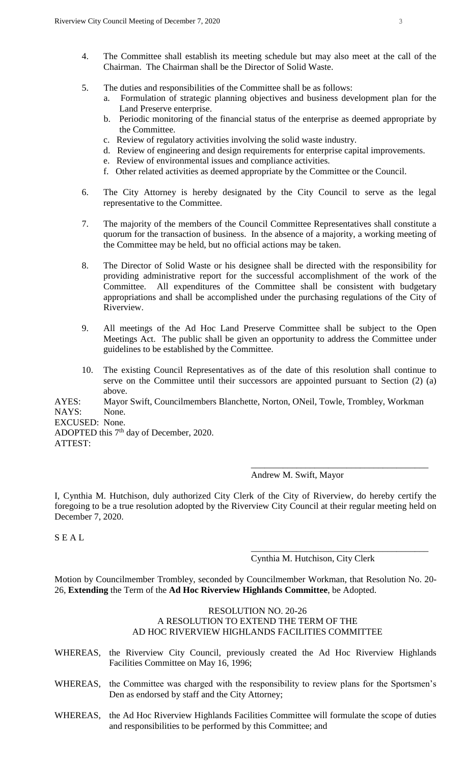- 4. The Committee shall establish its meeting schedule but may also meet at the call of the Chairman. The Chairman shall be the Director of Solid Waste.
- 5. The duties and responsibilities of the Committee shall be as follows:
	- a. Formulation of strategic planning objectives and business development plan for the Land Preserve enterprise.
	- b. Periodic monitoring of the financial status of the enterprise as deemed appropriate by the Committee.
	- c. Review of regulatory activities involving the solid waste industry.
	- d. Review of engineering and design requirements for enterprise capital improvements.
	- e. Review of environmental issues and compliance activities.
	- f. Other related activities as deemed appropriate by the Committee or the Council.
- 6. The City Attorney is hereby designated by the City Council to serve as the legal representative to the Committee.
- 7. The majority of the members of the Council Committee Representatives shall constitute a quorum for the transaction of business. In the absence of a majority, a working meeting of the Committee may be held, but no official actions may be taken.
- 8. The Director of Solid Waste or his designee shall be directed with the responsibility for providing administrative report for the successful accomplishment of the work of the Committee. All expenditures of the Committee shall be consistent with budgetary appropriations and shall be accomplished under the purchasing regulations of the City of Riverview.
- 9. All meetings of the Ad Hoc Land Preserve Committee shall be subject to the Open Meetings Act. The public shall be given an opportunity to address the Committee under guidelines to be established by the Committee.
- 10. The existing Council Representatives as of the date of this resolution shall continue to serve on the Committee until their successors are appointed pursuant to Section (2) (a) above.

AYES: Mayor Swift, Councilmembers Blanchette, Norton, ONeil, Towle, Trombley, Workman NAYS: None.

EXCUSED: None.

ADOPTED this  $7<sup>th</sup>$  day of December, 2020. ATTEST:

Andrew M. Swift, Mayor

I, Cynthia M. Hutchison, duly authorized City Clerk of the City of Riverview, do hereby certify the foregoing to be a true resolution adopted by the Riverview City Council at their regular meeting held on December 7, 2020.

S E A L

Cynthia M. Hutchison, City Clerk

\_\_\_\_\_\_\_\_\_\_\_\_\_\_\_\_\_\_\_\_\_\_\_\_\_\_\_\_\_\_\_\_\_\_\_\_\_\_\_

\_\_\_\_\_\_\_\_\_\_\_\_\_\_\_\_\_\_\_\_\_\_\_\_\_\_\_\_\_\_\_\_\_\_\_\_\_\_\_

Motion by Councilmember Trombley, seconded by Councilmember Workman, that Resolution No. 20- 26, **Extending** the Term of the **Ad Hoc Riverview Highlands Committee**, be Adopted.

#### RESOLUTION NO. 20-26 A RESOLUTION TO EXTEND THE TERM OF THE AD HOC RIVERVIEW HIGHLANDS FACILITIES COMMITTEE

- WHEREAS, the Riverview City Council, previously created the Ad Hoc Riverview Highlands Facilities Committee on May 16, 1996;
- WHEREAS, the Committee was charged with the responsibility to review plans for the Sportsmen's Den as endorsed by staff and the City Attorney;
- WHEREAS, the Ad Hoc Riverview Highlands Facilities Committee will formulate the scope of duties and responsibilities to be performed by this Committee; and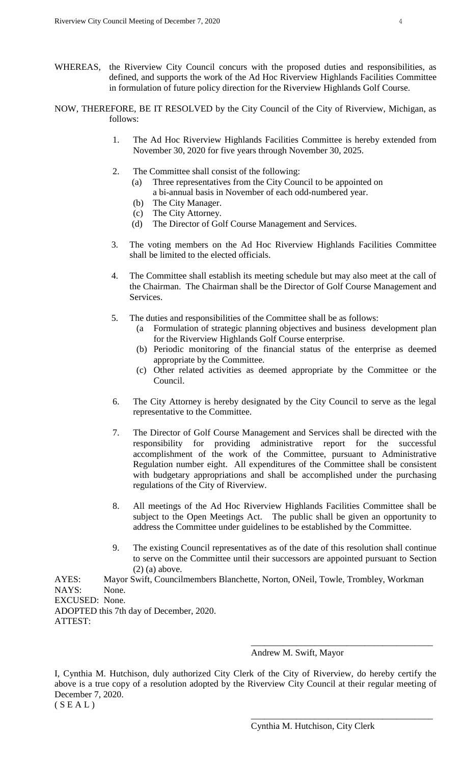- WHEREAS, the Riverview City Council concurs with the proposed duties and responsibilities, as defined, and supports the work of the Ad Hoc Riverview Highlands Facilities Committee in formulation of future policy direction for the Riverview Highlands Golf Course.
- NOW, THEREFORE, BE IT RESOLVED by the City Council of the City of Riverview, Michigan, as follows:
	- 1. The Ad Hoc Riverview Highlands Facilities Committee is hereby extended from November 30, 2020 for five years through November 30, 2025.
	- 2. The Committee shall consist of the following:
		- (a) Three representatives from the City Council to be appointed on a bi-annual basis in November of each odd-numbered year.
		- (b) The City Manager.
		- (c) The City Attorney.
		- (d) The Director of Golf Course Management and Services.
	- 3. The voting members on the Ad Hoc Riverview Highlands Facilities Committee shall be limited to the elected officials.
	- 4. The Committee shall establish its meeting schedule but may also meet at the call of the Chairman. The Chairman shall be the Director of Golf Course Management and Services.
	- 5. The duties and responsibilities of the Committee shall be as follows:
		- (a Formulation of strategic planning objectives and business development plan for the Riverview Highlands Golf Course enterprise.
		- (b) Periodic monitoring of the financial status of the enterprise as deemed appropriate by the Committee.
		- (c) Other related activities as deemed appropriate by the Committee or the Council.
	- 6. The City Attorney is hereby designated by the City Council to serve as the legal representative to the Committee.
	- 7. The Director of Golf Course Management and Services shall be directed with the responsibility for providing administrative report for the successful accomplishment of the work of the Committee, pursuant to Administrative Regulation number eight. All expenditures of the Committee shall be consistent with budgetary appropriations and shall be accomplished under the purchasing regulations of the City of Riverview.
	- 8. All meetings of the Ad Hoc Riverview Highlands Facilities Committee shall be subject to the Open Meetings Act. The public shall be given an opportunity to address the Committee under guidelines to be established by the Committee.
	- 9. The existing Council representatives as of the date of this resolution shall continue to serve on the Committee until their successors are appointed pursuant to Section (2) (a) above.

AYES: Mayor Swift, Councilmembers Blanchette, Norton, ONeil, Towle, Trombley, Workman NAYS: None. EXCUSED: None. ADOPTED this 7th day of December, 2020. ATTEST:

#### Andrew M. Swift, Mayor

\_\_\_\_\_\_\_\_\_\_\_\_\_\_\_\_\_\_\_\_\_\_\_\_\_\_\_\_\_\_\_\_\_\_\_\_\_\_\_\_

\_\_\_\_\_\_\_\_\_\_\_\_\_\_\_\_\_\_\_\_\_\_\_\_\_\_\_\_\_\_\_\_\_\_\_\_\_\_\_\_

I, Cynthia M. Hutchison, duly authorized City Clerk of the City of Riverview, do hereby certify the above is a true copy of a resolution adopted by the Riverview City Council at their regular meeting of December 7, 2020.

 $(S E A L)$